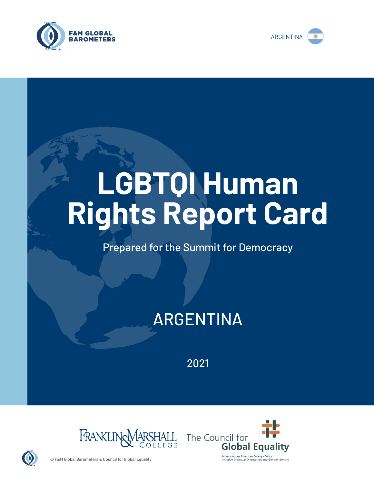



# **LGBTQI Human Rights Report Card**

## Prepared for the Summit for Democracy

# ARGENTINA

2021





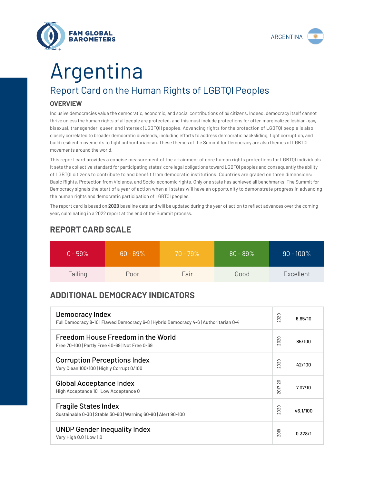



# Report Card on the Human Rights of LGBTQI Peoples **OVERVIEW** Argentina

Inclusive democracies value the democratic, economic, and social contributions of *all* citizens. Indeed, democracy itself cannot thrive unless the human rights of all people are protected, and this must include protections for often marginalized lesbian, gay, bisexual, transgender, queer, and intersex (LGBTQI) peoples. Advancing rights for the protection of LGBTQI people is also closely correlated to broader democratic dividends, including efforts to address democratic backsliding, fight corruption, and build resilient movements to fight authoritarianism. These themes of the Summit for Democracy are also themes of LGBTQI movements around the world.

This report card provides a concise measurement of the attainment of core human rights protections for LGBTQI individuals. It sets the collective standard for participating states' core legal obligations toward LGBTQI peoples and consequently the ability of LGBTQI citizens to contribute to and benefit from democratic institutions. Countries are graded on three dimensions: Basic Rights, Protection from Violence, and Socio-economic rights. Only one state has achieved all benchmarks. The Summit for Democracy signals the start of a year of action when all states will have an opportunity to demonstrate progress in advancing the human rights and democratic participation of LGBTQI peoples.

The report card is based on **2020** baseline data and will be updated during the year of action to reflect advances over the coming year, culminating in a 2022 report at the end of the Summit process.

| $0 - 59\%$ | $60 - 69\%$ | $70 - 79\%$ | $80 - 89\%$ | $90 - 100\%$ |
|------------|-------------|-------------|-------------|--------------|
| Failing    | Poor        | Fair        | Good        | Excellent    |

### **REPORT CARD SCALE**

## **ADDITIONAL DEMOCRACY INDICATORS**

| Democracy Index<br>Full Democracy 8-10   Flawed Democracy 6-8   Hybrid Democracy 4-6   Authoritarian 0-4 | 2020                | 6.95/10  |
|----------------------------------------------------------------------------------------------------------|---------------------|----------|
| Freedom House Freedom in the World<br>Free 70-100   Partly Free 40-69   Not Free 0-39                    | 2020                | 85/100   |
| <b>Corruption Perceptions Index</b><br>Very Clean 100/100   Highly Corrupt 0/100                         | 020<br>$\sim$       | 42/100   |
| <b>Global Acceptance Index</b><br>High Acceptance 10   Low Acceptance 0                                  | 2017-20             | 7.07/10  |
| <b>Fragile States Index</b><br>Sustainable 0-30   Stable 30-60   Warning 60-90   Alert 90-100            | 2020                | 46.1/100 |
| <b>UNDP Gender Inequality Index</b><br>Very High 0.0   Low 1.0                                           | တ<br>$\overline{5}$ | 0.328/1  |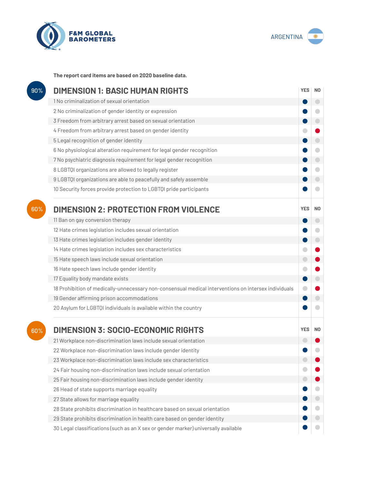



**The report card items are based on 2020 baseline data.**

| 90% | <b>DIMENSION 1: BASIC HUMAN RIGHTS</b>                                                               |            |                          |
|-----|------------------------------------------------------------------------------------------------------|------------|--------------------------|
|     | 1 No criminalization of sexual orientation                                                           |            | $\overline{\phantom{0}}$ |
|     | 2 No criminalization of gender identity or expression                                                |            |                          |
|     | 3 Freedom from arbitrary arrest based on sexual orientation                                          |            |                          |
|     | 4 Freedom from arbitrary arrest based on gender identity                                             |            |                          |
|     | 5 Legal recognition of gender identity                                                               |            | O                        |
|     | 6 No physiological alteration requirement for legal gender recognition                               |            | $\bigcap$                |
|     | 7 No psychiatric diagnosis requirement for legal gender recognition                                  |            | $\bigcirc$               |
|     | 8 LGBTQI organizations are allowed to legally register                                               |            | O                        |
|     | 9 LGBTQI organizations are able to peacefully and safely assemble                                    |            |                          |
|     | 10 Security forces provide protection to LGBTQI pride participants                                   |            |                          |
| 60% | <b>DIMENSION 2: PROTECTION FROM VIOLENCE</b>                                                         | <b>YES</b> | N <sub>0</sub>           |
|     | 11 Ban on gay conversion therapy                                                                     |            | O                        |
|     | 12 Hate crimes legislation includes sexual orientation                                               |            |                          |
|     | 13 Hate crimes legislation includes gender identity                                                  |            | $\bigcirc$               |
|     | 14 Hate crimes legislation includes sex characteristics                                              | ۰          |                          |
|     | 15 Hate speech laws include sexual orientation                                                       | $\bigcirc$ |                          |
|     | 16 Hate speech laws include gender identity                                                          |            |                          |
|     | 17 Equality body mandate exists                                                                      |            |                          |
|     | 18 Prohibition of medically-unnecessary non-consensual medical interventions on intersex individuals |            |                          |
|     | 19 Gender affirming prison accommodations                                                            |            |                          |
|     | 20 Asylum for LGBTQI individuals is available within the country                                     |            |                          |
| 60% | <b>DIMENSION 3: SOCIO-ECONOMIC RIGHTS</b>                                                            | <b>YES</b> | N <sub>0</sub>           |
|     | 21 Workplace non-discrimination laws include sexual orientation                                      |            |                          |
|     | 22 Workplace non-discrimination laws include gender identity                                         |            |                          |
|     | 23 Workplace non-discrimination laws include sex characteristics                                     |            |                          |
|     | 24 Fair housing non-discrimination laws include sexual orientation                                   |            |                          |
|     | 25 Fair housing non-discrimination laws include gender identity                                      |            |                          |
|     | 26 Head of state supports marriage equality                                                          |            |                          |
|     | 27 State allows for marriage equality                                                                |            |                          |
|     | 28 State prohibits discrimination in healthcare based on sexual orientation                          |            |                          |
|     | 29 State prohibits discrimination in health care based on gender identity                            |            |                          |
|     | 30 Legal classifications (such as an X sex or gender marker) universally available                   |            |                          |